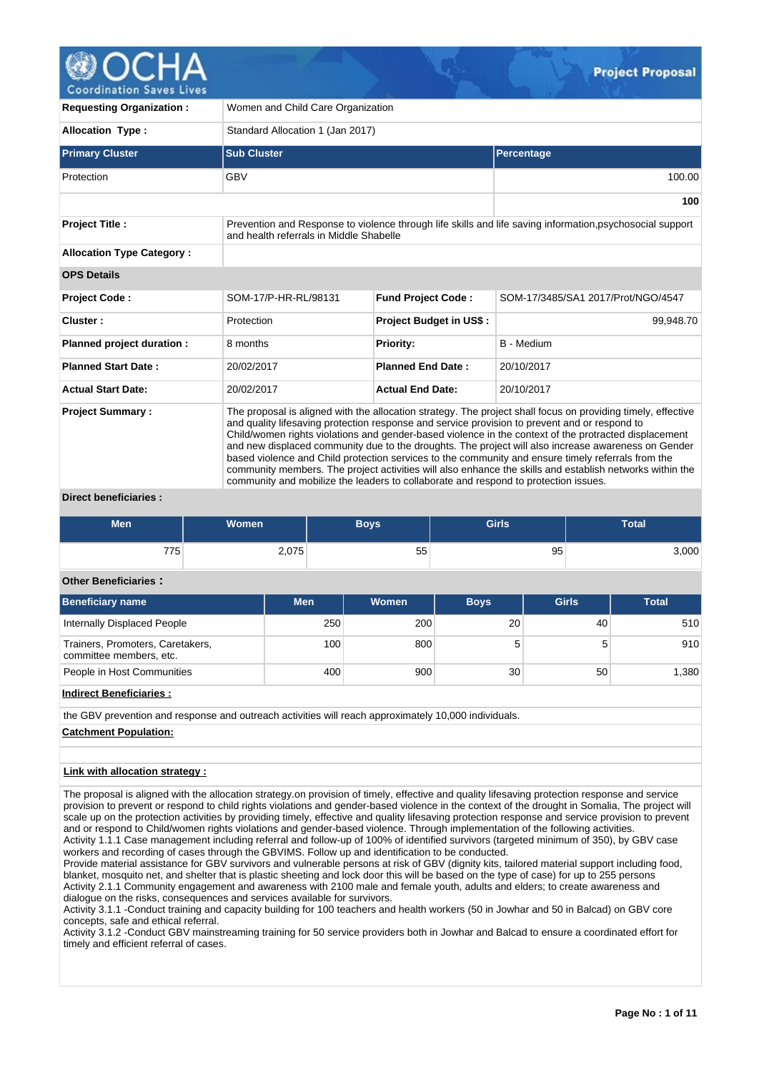**Project Proposal** 

**Coordination Saves Lives** 

| <b>Requesting Organization:</b>  | Women and Child Care Organization                                                                                                                                                                                                                                                                                                                                                                                                                                                                                                                                                                                                                                                                                                      |                                |                                    |  |  |  |  |  |  |  |  |
|----------------------------------|----------------------------------------------------------------------------------------------------------------------------------------------------------------------------------------------------------------------------------------------------------------------------------------------------------------------------------------------------------------------------------------------------------------------------------------------------------------------------------------------------------------------------------------------------------------------------------------------------------------------------------------------------------------------------------------------------------------------------------------|--------------------------------|------------------------------------|--|--|--|--|--|--|--|--|
| <b>Allocation Type:</b>          | Standard Allocation 1 (Jan 2017)                                                                                                                                                                                                                                                                                                                                                                                                                                                                                                                                                                                                                                                                                                       |                                |                                    |  |  |  |  |  |  |  |  |
| <b>Primary Cluster</b>           | <b>Sub Cluster</b>                                                                                                                                                                                                                                                                                                                                                                                                                                                                                                                                                                                                                                                                                                                     |                                | Percentage                         |  |  |  |  |  |  |  |  |
| Protection                       | <b>GBV</b>                                                                                                                                                                                                                                                                                                                                                                                                                                                                                                                                                                                                                                                                                                                             |                                | 100.00                             |  |  |  |  |  |  |  |  |
|                                  |                                                                                                                                                                                                                                                                                                                                                                                                                                                                                                                                                                                                                                                                                                                                        |                                | 100                                |  |  |  |  |  |  |  |  |
| <b>Project Title:</b>            | Prevention and Response to violence through life skills and life saving information, psychosocial support<br>and health referrals in Middle Shabelle                                                                                                                                                                                                                                                                                                                                                                                                                                                                                                                                                                                   |                                |                                    |  |  |  |  |  |  |  |  |
| <b>Allocation Type Category:</b> |                                                                                                                                                                                                                                                                                                                                                                                                                                                                                                                                                                                                                                                                                                                                        |                                |                                    |  |  |  |  |  |  |  |  |
| <b>OPS Details</b>               |                                                                                                                                                                                                                                                                                                                                                                                                                                                                                                                                                                                                                                                                                                                                        |                                |                                    |  |  |  |  |  |  |  |  |
| <b>Project Code:</b>             | SOM-17/P-HR-RL/98131                                                                                                                                                                                                                                                                                                                                                                                                                                                                                                                                                                                                                                                                                                                   | <b>Fund Project Code:</b>      | SOM-17/3485/SA1 2017/Prot/NGO/4547 |  |  |  |  |  |  |  |  |
| Cluster:                         | Protection                                                                                                                                                                                                                                                                                                                                                                                                                                                                                                                                                                                                                                                                                                                             | <b>Project Budget in US\$:</b> | 99,948.70                          |  |  |  |  |  |  |  |  |
| Planned project duration :       | 8 months                                                                                                                                                                                                                                                                                                                                                                                                                                                                                                                                                                                                                                                                                                                               | <b>Priority:</b>               | <b>B</b> - Medium                  |  |  |  |  |  |  |  |  |
| <b>Planned Start Date:</b>       | 20/02/2017                                                                                                                                                                                                                                                                                                                                                                                                                                                                                                                                                                                                                                                                                                                             | <b>Planned End Date:</b>       | 20/10/2017                         |  |  |  |  |  |  |  |  |
| <b>Actual Start Date:</b>        | 20/02/2017                                                                                                                                                                                                                                                                                                                                                                                                                                                                                                                                                                                                                                                                                                                             | <b>Actual End Date:</b>        | 20/10/2017                         |  |  |  |  |  |  |  |  |
| <b>Project Summary:</b>          | The proposal is aligned with the allocation strategy. The project shall focus on providing timely, effective<br>and quality lifesaving protection response and service provision to prevent and or respond to<br>Child/women rights violations and gender-based violence in the context of the protracted displacement<br>and new displaced community due to the droughts. The project will also increase awareness on Gender<br>based violence and Child protection services to the community and ensure timely referrals from the<br>community members. The project activities will also enhance the skills and establish networks within the<br>community and mobilize the leaders to collaborate and respond to protection issues. |                                |                                    |  |  |  |  |  |  |  |  |

## **Direct beneficiaries :**

| <b>Men</b> | <b>Women</b> | Boys | <b>Girls</b> | <b>Total</b> |
|------------|--------------|------|--------------|--------------|
| 775        | 2,075        | 55   | 95           | 3,000        |

# **Other Beneficiaries :**

| <b>Beneficiary name</b>                                     | <b>Men</b>       | <b>Women</b> | <b>Boys</b> | <b>Girls</b> | <b>Total</b> |
|-------------------------------------------------------------|------------------|--------------|-------------|--------------|--------------|
| Internally Displaced People                                 | 250              | 200          | 20          | 40           | 510          |
| Trainers, Promoters, Caretakers,<br>committee members, etc. | 100 <sub>1</sub> | 800          |             |              | 910          |
| People in Host Communities                                  | 400              | 900          | 30          | 50           | 1.380        |

## **Indirect Beneficiaries :**

the GBV prevention and response and outreach activities will reach approximately 10,000 individuals.

## **Catchment Population:**

## **Link with allocation strategy :**

The proposal is aligned with the allocation strategy.on provision of timely, effective and quality lifesaving protection response and service provision to prevent or respond to child rights violations and gender-based violence in the context of the drought in Somalia, The project will scale up on the protection activities by providing timely, effective and quality lifesaving protection response and service provision to prevent and or respond to Child/women rights violations and gender-based violence. Through implementation of the following activities. Activity 1.1.1 Case management including referral and follow-up of 100% of identified survivors (targeted minimum of 350), by GBV case workers and recording of cases through the GBVIMS. Follow up and identification to be conducted.

Provide material assistance for GBV survivors and vulnerable persons at risk of GBV (dignity kits, tailored material support including food, blanket, mosquito net, and shelter that is plastic sheeting and lock door this will be based on the type of case) for up to 255 persons Activity 2.1.1 Community engagement and awareness with 2100 male and female youth, adults and elders; to create awareness and dialogue on the risks, consequences and services available for survivors.

Activity 3.1.1 -Conduct training and capacity building for 100 teachers and health workers (50 in Jowhar and 50 in Balcad) on GBV core concepts, safe and ethical referral.

Activity 3.1.2 -Conduct GBV mainstreaming training for 50 service providers both in Jowhar and Balcad to ensure a coordinated effort for timely and efficient referral of cases.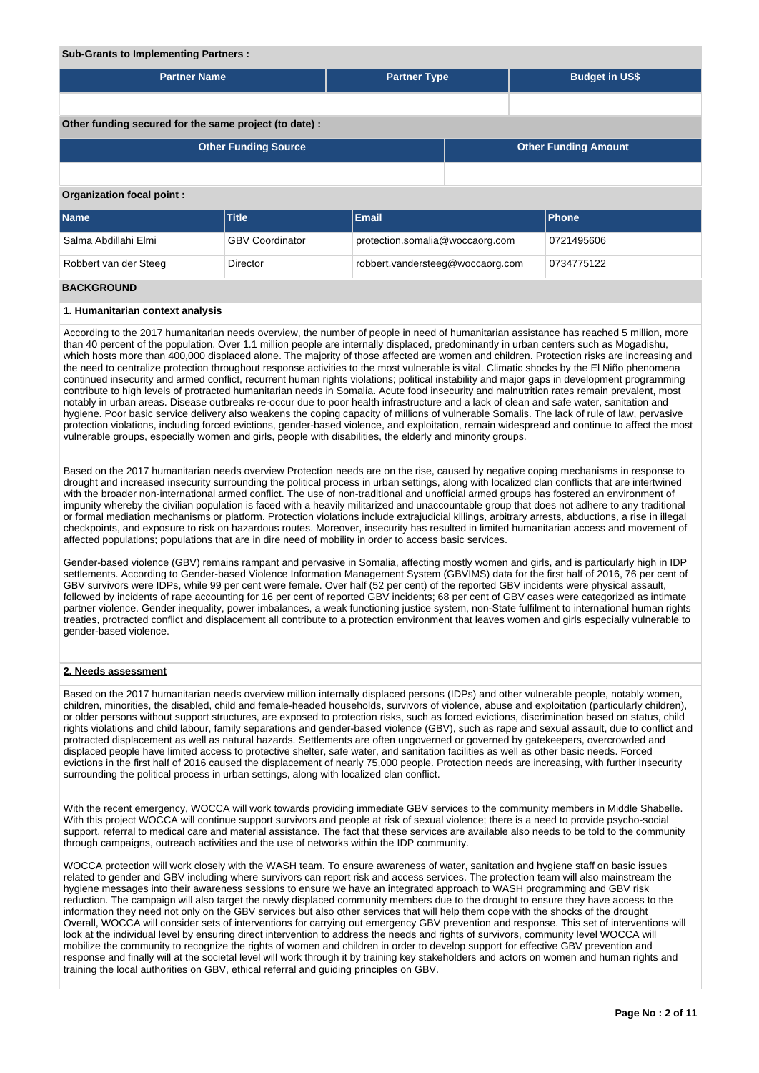## **Sub-Grants to Implementing Partners :**

| --------------                                         |                             |                                 |                                                |  |                       |  |  |  |  |  |  |
|--------------------------------------------------------|-----------------------------|---------------------------------|------------------------------------------------|--|-----------------------|--|--|--|--|--|--|
| <b>Partner Name</b>                                    |                             | <b>Partner Type</b>             |                                                |  | <b>Budget in US\$</b> |  |  |  |  |  |  |
|                                                        |                             |                                 |                                                |  |                       |  |  |  |  |  |  |
|                                                        |                             |                                 |                                                |  |                       |  |  |  |  |  |  |
| Other funding secured for the same project (to date) : |                             |                                 |                                                |  |                       |  |  |  |  |  |  |
|                                                        | <b>Other Funding Source</b> |                                 | <b>Other Funding Amount</b>                    |  |                       |  |  |  |  |  |  |
|                                                        |                             |                                 |                                                |  |                       |  |  |  |  |  |  |
| <b>Organization focal point:</b>                       |                             |                                 |                                                |  |                       |  |  |  |  |  |  |
| <b>Name</b>                                            | <b>Title</b>                | Email                           |                                                |  | Phone                 |  |  |  |  |  |  |
| Salma Abdillahi Elmi                                   | <b>GBV Coordinator</b>      | protection.somalia@woccaorg.com |                                                |  | 0721495606            |  |  |  |  |  |  |
| Robbert van der Steeg                                  | Director                    |                                 | robbert.vandersteeg@woccaorg.com<br>0734775122 |  |                       |  |  |  |  |  |  |
| <b>BACKGROUND</b>                                      |                             |                                 |                                                |  |                       |  |  |  |  |  |  |

## **1. Humanitarian context analysis**

According to the 2017 humanitarian needs overview, the number of people in need of humanitarian assistance has reached 5 million, more than 40 percent of the population. Over 1.1 million people are internally displaced, predominantly in urban centers such as Mogadishu, which hosts more than 400,000 displaced alone. The majority of those affected are women and children. Protection risks are increasing and the need to centralize protection throughout response activities to the most vulnerable is vital. Climatic shocks by the El Niño phenomena continued insecurity and armed conflict, recurrent human rights violations; political instability and major gaps in development programming contribute to high levels of protracted humanitarian needs in Somalia. Acute food insecurity and malnutrition rates remain prevalent, most notably in urban areas. Disease outbreaks re-occur due to poor health infrastructure and a lack of clean and safe water, sanitation and hygiene. Poor basic service delivery also weakens the coping capacity of millions of vulnerable Somalis. The lack of rule of law, pervasive protection violations, including forced evictions, gender-based violence, and exploitation, remain widespread and continue to affect the most vulnerable groups, especially women and girls, people with disabilities, the elderly and minority groups.

Based on the 2017 humanitarian needs overview Protection needs are on the rise, caused by negative coping mechanisms in response to drought and increased insecurity surrounding the political process in urban settings, along with localized clan conflicts that are intertwined with the broader non-international armed conflict. The use of non-traditional and unofficial armed groups has fostered an environment of impunity whereby the civilian population is faced with a heavily militarized and unaccountable group that does not adhere to any traditional or formal mediation mechanisms or platform. Protection violations include extrajudicial killings, arbitrary arrests, abductions, a rise in illegal checkpoints, and exposure to risk on hazardous routes. Moreover, insecurity has resulted in limited humanitarian access and movement of affected populations; populations that are in dire need of mobility in order to access basic services.

Gender-based violence (GBV) remains rampant and pervasive in Somalia, affecting mostly women and girls, and is particularly high in IDP settlements. According to Gender-based Violence Information Management System (GBVIMS) data for the first half of 2016, 76 per cent of GBV survivors were IDPs, while 99 per cent were female. Over half (52 per cent) of the reported GBV incidents were physical assault, followed by incidents of rape accounting for 16 per cent of reported GBV incidents; 68 per cent of GBV cases were categorized as intimate partner violence. Gender inequality, power imbalances, a weak functioning justice system, non-State fulfilment to international human rights treaties, protracted conflict and displacement all contribute to a protection environment that leaves women and girls especially vulnerable to gender-based violence.

#### **2. Needs assessment**

Based on the 2017 humanitarian needs overview million internally displaced persons (IDPs) and other vulnerable people, notably women, children, minorities, the disabled, child and female-headed households, survivors of violence, abuse and exploitation (particularly children), or older persons without support structures, are exposed to protection risks, such as forced evictions, discrimination based on status, child rights violations and child labour, family separations and gender-based violence (GBV), such as rape and sexual assault, due to conflict and protracted displacement as well as natural hazards. Settlements are often ungoverned or governed by gatekeepers, overcrowded and displaced people have limited access to protective shelter, safe water, and sanitation facilities as well as other basic needs. Forced evictions in the first half of 2016 caused the displacement of nearly 75,000 people. Protection needs are increasing, with further insecurity surrounding the political process in urban settings, along with localized clan conflict.

With the recent emergency, WOCCA will work towards providing immediate GBV services to the community members in Middle Shabelle. With this project WOCCA will continue support survivors and people at risk of sexual violence; there is a need to provide psycho-social support, referral to medical care and material assistance. The fact that these services are available also needs to be told to the community through campaigns, outreach activities and the use of networks within the IDP community.

WOCCA protection will work closely with the WASH team. To ensure awareness of water, sanitation and hygiene staff on basic issues related to gender and GBV including where survivors can report risk and access services. The protection team will also mainstream the hygiene messages into their awareness sessions to ensure we have an integrated approach to WASH programming and GBV risk reduction. The campaign will also target the newly displaced community members due to the drought to ensure they have access to the information they need not only on the GBV services but also other services that will help them cope with the shocks of the drought Overall, WOCCA will consider sets of interventions for carrying out emergency GBV prevention and response. This set of interventions will look at the individual level by ensuring direct intervention to address the needs and rights of survivors, community level WOCCA will mobilize the community to recognize the rights of women and children in order to develop support for effective GBV prevention and response and finally will at the societal level will work through it by training key stakeholders and actors on women and human rights and training the local authorities on GBV, ethical referral and guiding principles on GBV.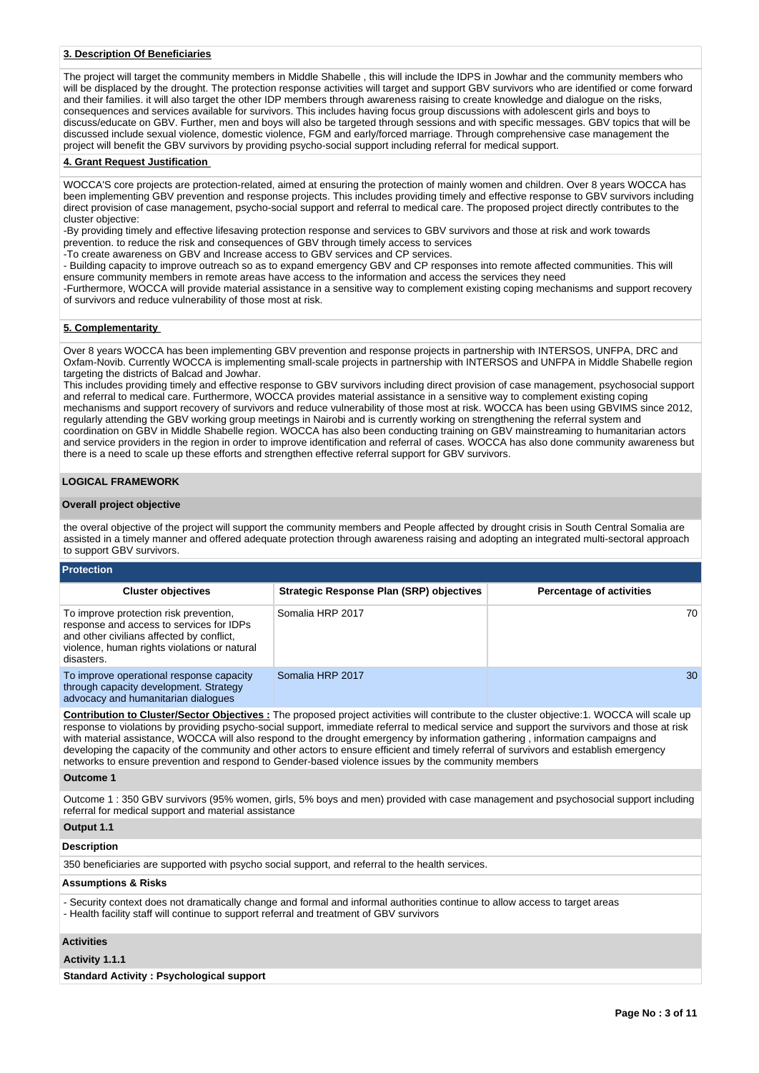## **3. Description Of Beneficiaries**

The project will target the community members in Middle Shabelle , this will include the IDPS in Jowhar and the community members who will be displaced by the drought. The protection response activities will target and support GBV survivors who are identified or come forward and their families. it will also target the other IDP members through awareness raising to create knowledge and dialogue on the risks, consequences and services available for survivors. This includes having focus group discussions with adolescent girls and boys to discuss/educate on GBV. Further, men and boys will also be targeted through sessions and with specific messages. GBV topics that will be discussed include sexual violence, domestic violence, FGM and early/forced marriage. Through comprehensive case management the project will benefit the GBV survivors by providing psycho-social support including referral for medical support.

#### **4. Grant Request Justification**

WOCCA'S core projects are protection-related, aimed at ensuring the protection of mainly women and children. Over 8 years WOCCA has been implementing GBV prevention and response projects. This includes providing timely and effective response to GBV survivors including direct provision of case management, psycho-social support and referral to medical care. The proposed project directly contributes to the cluster objective:

-By providing timely and effective lifesaving protection response and services to GBV survivors and those at risk and work towards prevention. to reduce the risk and consequences of GBV through timely access to services

-To create awareness on GBV and Increase access to GBV services and CP services.

- Building capacity to improve outreach so as to expand emergency GBV and CP responses into remote affected communities. This will ensure community members in remote areas have access to the information and access the services they need

-Furthermore, WOCCA will provide material assistance in a sensitive way to complement existing coping mechanisms and support recovery of survivors and reduce vulnerability of those most at risk.

#### **5. Complementarity**

Over 8 years WOCCA has been implementing GBV prevention and response projects in partnership with INTERSOS, UNFPA, DRC and Oxfam-Novib. Currently WOCCA is implementing small-scale projects in partnership with INTERSOS and UNFPA in Middle Shabelle region targeting the districts of Balcad and Jowhar.

This includes providing timely and effective response to GBV survivors including direct provision of case management, psychosocial support and referral to medical care. Furthermore, WOCCA provides material assistance in a sensitive way to complement existing coping mechanisms and support recovery of survivors and reduce vulnerability of those most at risk. WOCCA has been using GBVIMS since 2012, regularly attending the GBV working group meetings in Nairobi and is currently working on strengthening the referral system and coordination on GBV in Middle Shabelle region. WOCCA has also been conducting training on GBV mainstreaming to humanitarian actors and service providers in the region in order to improve identification and referral of cases. WOCCA has also done community awareness but there is a need to scale up these efforts and strengthen effective referral support for GBV survivors.

### **LOGICAL FRAMEWORK**

#### **Overall project objective**

the overal objective of the project will support the community members and People affected by drought crisis in South Central Somalia are assisted in a timely manner and offered adequate protection through awareness raising and adopting an integrated multi-sectoral approach to support GBV survivors.

#### **Protection**

| <b>Cluster objectives</b>                                                                                                                                                                     | <b>Strategic Response Plan (SRP) objectives</b> | <b>Percentage of activities</b> |
|-----------------------------------------------------------------------------------------------------------------------------------------------------------------------------------------------|-------------------------------------------------|---------------------------------|
| To improve protection risk prevention,<br>response and access to services for IDPs<br>and other civilians affected by conflict,<br>violence, human rights violations or natural<br>disasters. | Somalia HRP 2017                                | 70                              |
| To improve operational response capacity<br>through capacity development. Strategy<br>advocacy and humanitarian dialogues                                                                     | Somalia HRP 2017                                | 30                              |

**Contribution to Cluster/Sector Objectives :** The proposed project activities will contribute to the cluster objective:1. WOCCA will scale up response to violations by providing psycho-social support, immediate referral to medical service and support the survivors and those at risk with material assistance, WOCCA will also respond to the drought emergency by information gathering , information campaigns and developing the capacity of the community and other actors to ensure efficient and timely referral of survivors and establish emergency networks to ensure prevention and respond to Gender-based violence issues by the community members

#### **Outcome 1**

Outcome 1 : 350 GBV survivors (95% women, girls, 5% boys and men) provided with case management and psychosocial support including referral for medical support and material assistance

## **Output 1.1**

## **Description**

350 beneficiaries are supported with psycho social support, and referral to the health services.

## **Assumptions & Risks**

- Security context does not dramatically change and formal and informal authorities continue to allow access to target areas - Health facility staff will continue to support referral and treatment of GBV survivors

## **Activities**

#### **Activity 1.1.1**

**Standard Activity : Psychological support**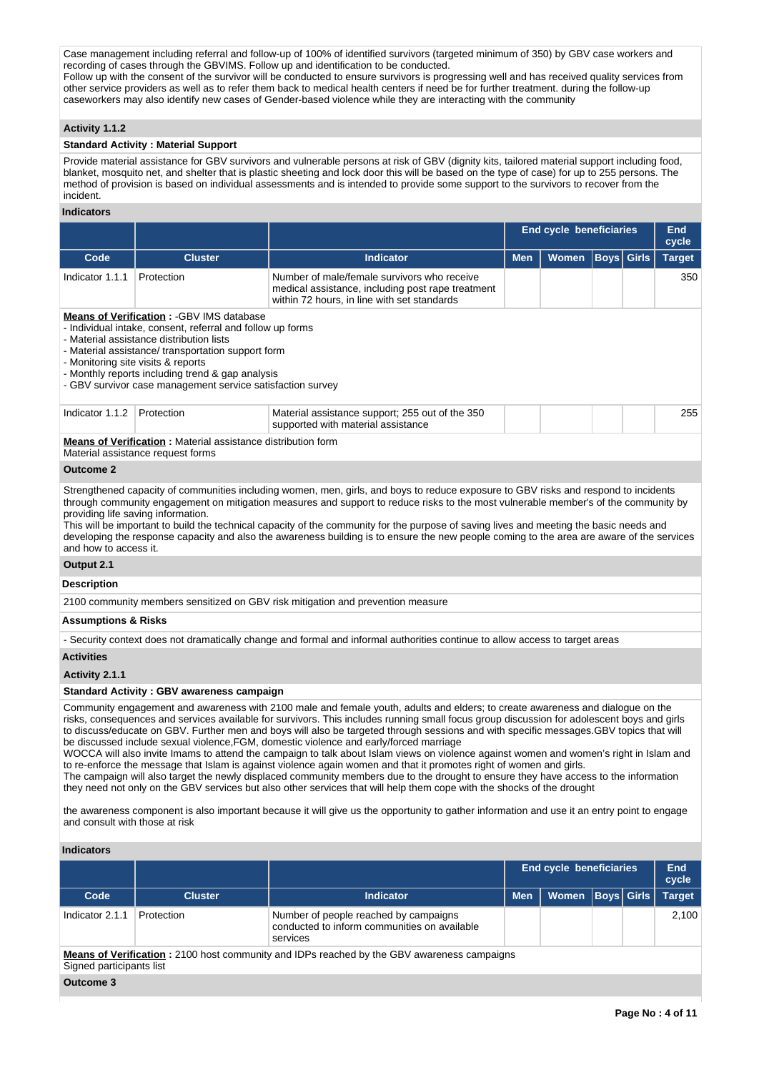Case management including referral and follow-up of 100% of identified survivors (targeted minimum of 350) by GBV case workers and recording of cases through the GBVIMS. Follow up and identification to be conducted. Follow up with the consent of the survivor will be conducted to ensure survivors is progressing well and has received quality services from other service providers as well as to refer them back to medical health centers if need be for further treatment. during the follow-up caseworkers may also identify new cases of Gender-based violence while they are interacting with the community

## **Activity 1.1.2**

## **Standard Activity : Material Support**

Provide material assistance for GBV survivors and vulnerable persons at risk of GBV (dignity kits, tailored material support including food, blanket, mosquito net, and shelter that is plastic sheeting and lock door this will be based on the type of case) for up to 255 persons. The method of provision is based on individual assessments and is intended to provide some support to the survivors to recover from the incident.

#### **Indicators**

| indicators                                                                                                                                                                                                                                                                                                                                                                                                                                                                                                                                                                                                                                                                                                                                                                                                                                                                                                                                                                                                                                                                                                                                                                                         |                                                                                                   |                                                                                                                                                                                                                                                                                                                                                                                                                                                                                                                                                                    | <b>End cycle beneficiaries</b> |                         |                   |  |                        |  |  |  |  |
|----------------------------------------------------------------------------------------------------------------------------------------------------------------------------------------------------------------------------------------------------------------------------------------------------------------------------------------------------------------------------------------------------------------------------------------------------------------------------------------------------------------------------------------------------------------------------------------------------------------------------------------------------------------------------------------------------------------------------------------------------------------------------------------------------------------------------------------------------------------------------------------------------------------------------------------------------------------------------------------------------------------------------------------------------------------------------------------------------------------------------------------------------------------------------------------------------|---------------------------------------------------------------------------------------------------|--------------------------------------------------------------------------------------------------------------------------------------------------------------------------------------------------------------------------------------------------------------------------------------------------------------------------------------------------------------------------------------------------------------------------------------------------------------------------------------------------------------------------------------------------------------------|--------------------------------|-------------------------|-------------------|--|------------------------|--|--|--|--|
| Code                                                                                                                                                                                                                                                                                                                                                                                                                                                                                                                                                                                                                                                                                                                                                                                                                                                                                                                                                                                                                                                                                                                                                                                               | <b>Cluster</b>                                                                                    | <b>Indicator</b>                                                                                                                                                                                                                                                                                                                                                                                                                                                                                                                                                   | <b>Men</b>                     | <b>Women</b>            | <b>Boys Girls</b> |  | cycle<br><b>Target</b> |  |  |  |  |
| Indicator 1.1.1                                                                                                                                                                                                                                                                                                                                                                                                                                                                                                                                                                                                                                                                                                                                                                                                                                                                                                                                                                                                                                                                                                                                                                                    | Protection                                                                                        | Number of male/female survivors who receive<br>medical assistance, including post rape treatment<br>within 72 hours, in line with set standards                                                                                                                                                                                                                                                                                                                                                                                                                    |                                |                         |                   |  | 350                    |  |  |  |  |
| <b>Means of Verification: - GBV IMS database</b><br>- Individual intake, consent, referral and follow up forms<br>- Material assistance distribution lists<br>- Material assistance/ transportation support form<br>- Monitoring site visits & reports<br>- Monthly reports including trend & gap analysis<br>- GBV survivor case management service satisfaction survey                                                                                                                                                                                                                                                                                                                                                                                                                                                                                                                                                                                                                                                                                                                                                                                                                           |                                                                                                   |                                                                                                                                                                                                                                                                                                                                                                                                                                                                                                                                                                    |                                |                         |                   |  |                        |  |  |  |  |
| Indicator 1.1.2                                                                                                                                                                                                                                                                                                                                                                                                                                                                                                                                                                                                                                                                                                                                                                                                                                                                                                                                                                                                                                                                                                                                                                                    | Protection                                                                                        | Material assistance support; 255 out of the 350<br>supported with material assistance                                                                                                                                                                                                                                                                                                                                                                                                                                                                              |                                |                         |                   |  | 255                    |  |  |  |  |
|                                                                                                                                                                                                                                                                                                                                                                                                                                                                                                                                                                                                                                                                                                                                                                                                                                                                                                                                                                                                                                                                                                                                                                                                    | Means of Verification: Material assistance distribution form<br>Material assistance request forms |                                                                                                                                                                                                                                                                                                                                                                                                                                                                                                                                                                    |                                |                         |                   |  |                        |  |  |  |  |
| <b>Outcome 2</b>                                                                                                                                                                                                                                                                                                                                                                                                                                                                                                                                                                                                                                                                                                                                                                                                                                                                                                                                                                                                                                                                                                                                                                                   |                                                                                                   |                                                                                                                                                                                                                                                                                                                                                                                                                                                                                                                                                                    |                                |                         |                   |  |                        |  |  |  |  |
| and how to access it.                                                                                                                                                                                                                                                                                                                                                                                                                                                                                                                                                                                                                                                                                                                                                                                                                                                                                                                                                                                                                                                                                                                                                                              | providing life saving information.                                                                | Strengthened capacity of communities including women, men, girls, and boys to reduce exposure to GBV risks and respond to incidents<br>through community engagement on mitigation measures and support to reduce risks to the most vulnerable member's of the community by<br>This will be important to build the technical capacity of the community for the purpose of saving lives and meeting the basic needs and<br>developing the response capacity and also the awareness building is to ensure the new people coming to the area are aware of the services |                                |                         |                   |  |                        |  |  |  |  |
| Output 2.1                                                                                                                                                                                                                                                                                                                                                                                                                                                                                                                                                                                                                                                                                                                                                                                                                                                                                                                                                                                                                                                                                                                                                                                         |                                                                                                   |                                                                                                                                                                                                                                                                                                                                                                                                                                                                                                                                                                    |                                |                         |                   |  |                        |  |  |  |  |
| Description                                                                                                                                                                                                                                                                                                                                                                                                                                                                                                                                                                                                                                                                                                                                                                                                                                                                                                                                                                                                                                                                                                                                                                                        |                                                                                                   |                                                                                                                                                                                                                                                                                                                                                                                                                                                                                                                                                                    |                                |                         |                   |  |                        |  |  |  |  |
|                                                                                                                                                                                                                                                                                                                                                                                                                                                                                                                                                                                                                                                                                                                                                                                                                                                                                                                                                                                                                                                                                                                                                                                                    |                                                                                                   | 2100 community members sensitized on GBV risk mitigation and prevention measure                                                                                                                                                                                                                                                                                                                                                                                                                                                                                    |                                |                         |                   |  |                        |  |  |  |  |
| Assumptions & Risks                                                                                                                                                                                                                                                                                                                                                                                                                                                                                                                                                                                                                                                                                                                                                                                                                                                                                                                                                                                                                                                                                                                                                                                |                                                                                                   |                                                                                                                                                                                                                                                                                                                                                                                                                                                                                                                                                                    |                                |                         |                   |  |                        |  |  |  |  |
|                                                                                                                                                                                                                                                                                                                                                                                                                                                                                                                                                                                                                                                                                                                                                                                                                                                                                                                                                                                                                                                                                                                                                                                                    |                                                                                                   | - Security context does not dramatically change and formal and informal authorities continue to allow access to target areas                                                                                                                                                                                                                                                                                                                                                                                                                                       |                                |                         |                   |  |                        |  |  |  |  |
| <b>Activities</b>                                                                                                                                                                                                                                                                                                                                                                                                                                                                                                                                                                                                                                                                                                                                                                                                                                                                                                                                                                                                                                                                                                                                                                                  |                                                                                                   |                                                                                                                                                                                                                                                                                                                                                                                                                                                                                                                                                                    |                                |                         |                   |  |                        |  |  |  |  |
| Activity 2.1.1                                                                                                                                                                                                                                                                                                                                                                                                                                                                                                                                                                                                                                                                                                                                                                                                                                                                                                                                                                                                                                                                                                                                                                                     |                                                                                                   |                                                                                                                                                                                                                                                                                                                                                                                                                                                                                                                                                                    |                                |                         |                   |  |                        |  |  |  |  |
|                                                                                                                                                                                                                                                                                                                                                                                                                                                                                                                                                                                                                                                                                                                                                                                                                                                                                                                                                                                                                                                                                                                                                                                                    | <b>Standard Activity: GBV awareness campaign</b>                                                  |                                                                                                                                                                                                                                                                                                                                                                                                                                                                                                                                                                    |                                |                         |                   |  |                        |  |  |  |  |
| Community engagement and awareness with 2100 male and female youth, adults and elders; to create awareness and dialogue on the<br>risks, consequences and services available for survivors. This includes running small focus group discussion for adolescent boys and girls<br>to discuss/educate on GBV. Further men and boys will also be targeted through sessions and with specific messages.GBV topics that will<br>be discussed include sexual violence, FGM, domestic violence and early/forced marriage<br>WOCCA will also invite Imams to attend the campaign to talk about Islam views on violence against women and women's right in Islam and<br>to re-enforce the message that Islam is against violence again women and that it promotes right of women and girls.<br>The campaign will also target the newly displaced community members due to the drought to ensure they have access to the information<br>they need not only on the GBV services but also other services that will help them cope with the shocks of the drought<br>the awareness component is also important because it will give us the opportunity to gather information and use it an entry point to engage |                                                                                                   |                                                                                                                                                                                                                                                                                                                                                                                                                                                                                                                                                                    |                                |                         |                   |  |                        |  |  |  |  |
| and consult with those at risk                                                                                                                                                                                                                                                                                                                                                                                                                                                                                                                                                                                                                                                                                                                                                                                                                                                                                                                                                                                                                                                                                                                                                                     |                                                                                                   |                                                                                                                                                                                                                                                                                                                                                                                                                                                                                                                                                                    |                                |                         |                   |  |                        |  |  |  |  |
| <b>Indicators</b>                                                                                                                                                                                                                                                                                                                                                                                                                                                                                                                                                                                                                                                                                                                                                                                                                                                                                                                                                                                                                                                                                                                                                                                  |                                                                                                   |                                                                                                                                                                                                                                                                                                                                                                                                                                                                                                                                                                    |                                |                         |                   |  |                        |  |  |  |  |
|                                                                                                                                                                                                                                                                                                                                                                                                                                                                                                                                                                                                                                                                                                                                                                                                                                                                                                                                                                                                                                                                                                                                                                                                    |                                                                                                   |                                                                                                                                                                                                                                                                                                                                                                                                                                                                                                                                                                    |                                | End cycle beneficiaries |                   |  | End                    |  |  |  |  |

| Code                                                                                                                          | <b>Cluster</b> | <b>Indicator</b>                                                                                  | <b>Men</b> | Women   Boys   Girls |  |  | <b>Target</b> |  |  |  |  |
|-------------------------------------------------------------------------------------------------------------------------------|----------------|---------------------------------------------------------------------------------------------------|------------|----------------------|--|--|---------------|--|--|--|--|
| Indicator 2.1.1                                                                                                               | Protection     | Number of people reached by campaigns<br>conducted to inform communities on available<br>services |            |                      |  |  | 2,100         |  |  |  |  |
| <b>Means of Verification:</b> 2100 host community and IDPs reached by the GBV awareness campaigns<br>Signed participants list |                |                                                                                                   |            |                      |  |  |               |  |  |  |  |
| $Q$ utcomo 2                                                                                                                  |                |                                                                                                   |            |                      |  |  |               |  |  |  |  |

## **Outcome 3**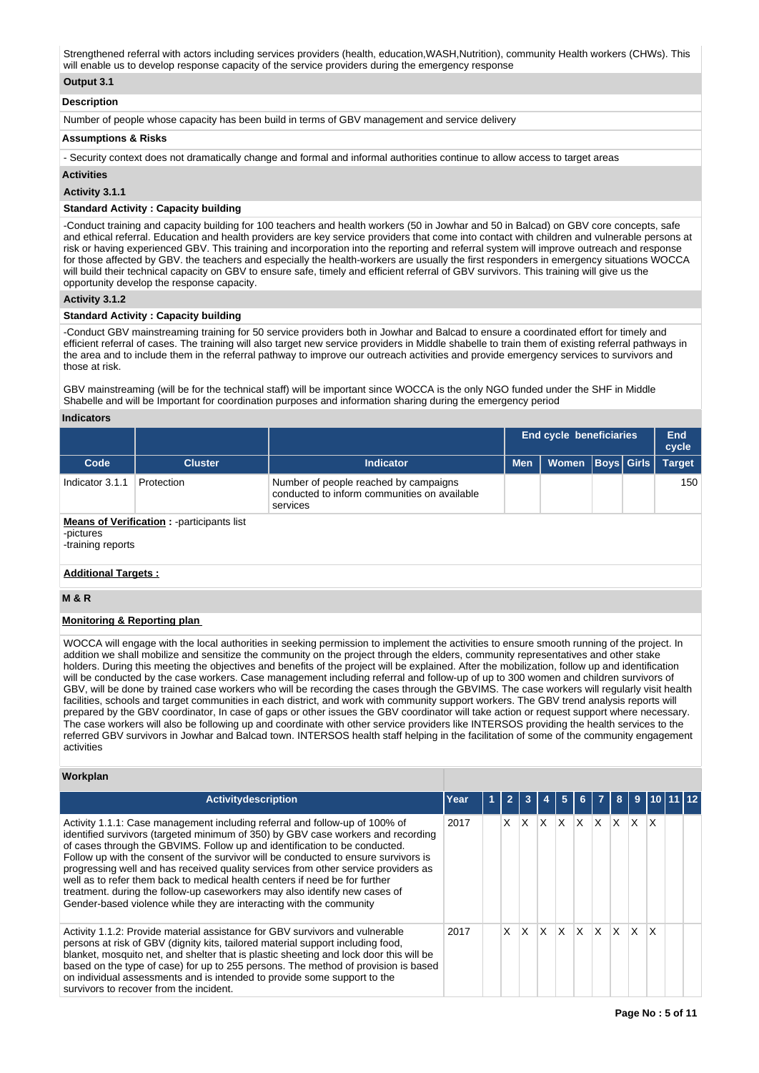Strengthened referral with actors including services providers (health, education,WASH,Nutrition), community Health workers (CHWs). This will enable us to develop response capacity of the service providers during the emergency response

## **Output 3.1**

#### **Description**

Number of people whose capacity has been build in terms of GBV management and service delivery

#### **Assumptions & Risks**

- Security context does not dramatically change and formal and informal authorities continue to allow access to target areas

#### **Activities**

### **Activity 3.1.1**

## **Standard Activity : Capacity building**

-Conduct training and capacity building for 100 teachers and health workers (50 in Jowhar and 50 in Balcad) on GBV core concepts, safe and ethical referral. Education and health providers are key service providers that come into contact with children and vulnerable persons at risk or having experienced GBV. This training and incorporation into the reporting and referral system will improve outreach and response for those affected by GBV. the teachers and especially the health-workers are usually the first responders in emergency situations WOCCA will build their technical capacity on GBV to ensure safe, timely and efficient referral of GBV survivors. This training will give us the opportunity develop the response capacity.

## **Activity 3.1.2**

#### **Standard Activity : Capacity building**

-Conduct GBV mainstreaming training for 50 service providers both in Jowhar and Balcad to ensure a coordinated effort for timely and efficient referral of cases. The training will also target new service providers in Middle shabelle to train them of existing referral pathways in the area and to include them in the referral pathway to improve our outreach activities and provide emergency services to survivors and those at risk.

GBV mainstreaming (will be for the technical staff) will be important since WOCCA is the only NGO funded under the SHF in Middle Shabelle and will be Important for coordination purposes and information sharing during the emergency period

#### **Indicators**

|                                |                                                   |                                                                                                   | <b>End cycle beneficiaries</b> |              |  |            | End<br>cycle  |
|--------------------------------|---------------------------------------------------|---------------------------------------------------------------------------------------------------|--------------------------------|--------------|--|------------|---------------|
| Code                           | <b>Cluster</b>                                    | <b>Indicator</b>                                                                                  | <b>Men</b>                     | <b>Women</b> |  | Boys Girls | <b>Target</b> |
| Indicator 3.1.1                | Protection                                        | Number of people reached by campaigns<br>conducted to inform communities on available<br>services |                                |              |  |            | 150           |
| -pictures<br>-training reports | <b>Means of Verification:</b> - participants list |                                                                                                   |                                |              |  |            |               |

## **Additional Targets :**

### **M & R**

## **Monitoring & Reporting plan**

WOCCA will engage with the local authorities in seeking permission to implement the activities to ensure smooth running of the project. In addition we shall mobilize and sensitize the community on the project through the elders, community representatives and other stake holders. During this meeting the objectives and benefits of the project will be explained. After the mobilization, follow up and identification will be conducted by the case workers. Case management including referral and follow-up of up to 300 women and children survivors of GBV, will be done by trained case workers who will be recording the cases through the GBVIMS. The case workers will regularly visit health facilities, schools and target communities in each district, and work with community support workers. The GBV trend analysis reports will prepared by the GBV coordinator, In case of gaps or other issues the GBV coordinator will take action or request support where necessary. The case workers will also be following up and coordinate with other service providers like INTERSOS providing the health services to the referred GBV survivors in Jowhar and Balcad town. INTERSOS health staff helping in the facilitation of some of the community engagement activities

## **Workplan**

| Activitydescription                                                                                                                                                                                                                                                                                                                                                                                                                                                                                                                                                                                                                                            | Year | $\overline{\phantom{a}}$ | 3  |     | 5 |   | $\overline{7}$ | 8   | 9  |   |  |
|----------------------------------------------------------------------------------------------------------------------------------------------------------------------------------------------------------------------------------------------------------------------------------------------------------------------------------------------------------------------------------------------------------------------------------------------------------------------------------------------------------------------------------------------------------------------------------------------------------------------------------------------------------------|------|--------------------------|----|-----|---|---|----------------|-----|----|---|--|
| Activity 1.1.1: Case management including referral and follow-up of 100% of<br>identified survivors (targeted minimum of 350) by GBV case workers and recording<br>of cases through the GBVIMS. Follow up and identification to be conducted.<br>Follow up with the consent of the survivor will be conducted to ensure survivors is<br>progressing well and has received quality services from other service providers as<br>well as to refer them back to medical health centers if need be for further<br>treatment. during the follow-up caseworkers may also identify new cases of<br>Gender-based violence while they are interacting with the community | 2017 | X.                       | X. | X.  | X | X | X              | ΙX. | X. | X |  |
| Activity 1.1.2: Provide material assistance for GBV survivors and vulnerable<br>persons at risk of GBV (dignity kits, tailored material support including food,<br>blanket, mosquito net, and shelter that is plastic sheeting and lock door this will be<br>based on the type of case) for up to 255 persons. The method of provision is based<br>on individual assessments and is intended to provide some support to the<br>survivors to recover from the incident.                                                                                                                                                                                         | 2017 | X.                       | X. | ΙX. | X | X | X              | ΙX. | X. | X |  |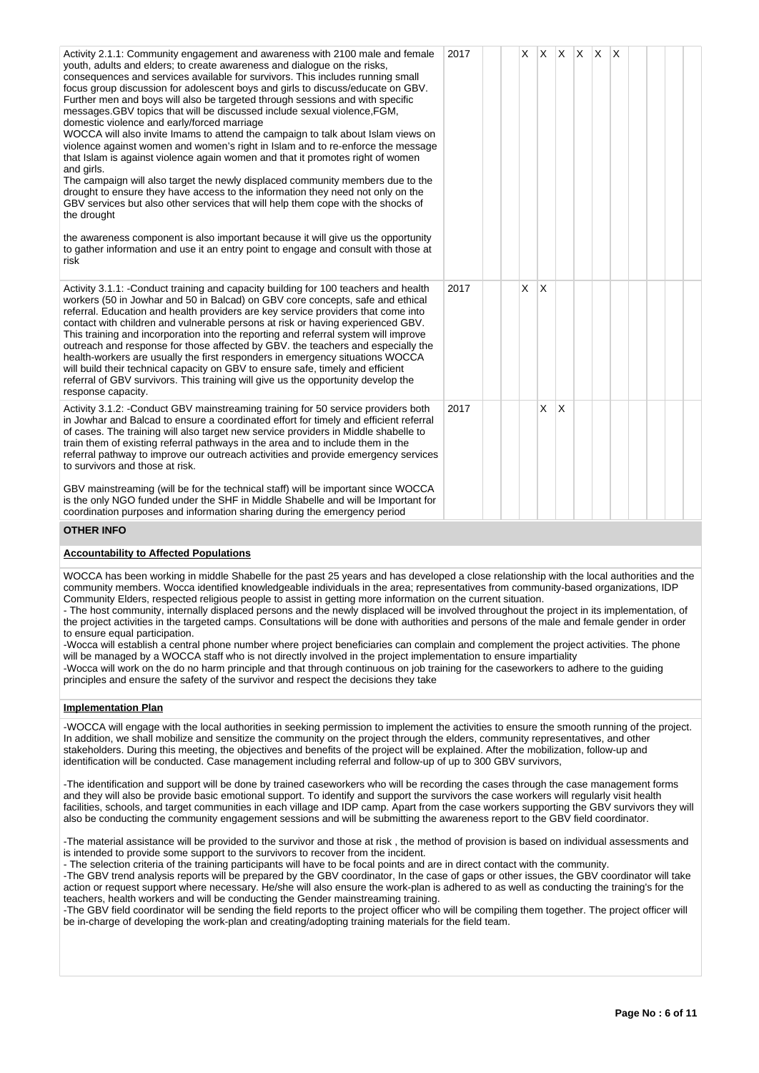| Activity 2.1.1: Community engagement and awareness with 2100 male and female<br>youth, adults and elders; to create awareness and dialogue on the risks,<br>consequences and services available for survivors. This includes running small<br>focus group discussion for adolescent boys and girls to discuss/educate on GBV.<br>Further men and boys will also be targeted through sessions and with specific<br>messages. GBV topics that will be discussed include sexual violence, FGM,<br>domestic violence and early/forced marriage<br>WOCCA will also invite Imams to attend the campaign to talk about Islam views on<br>violence against women and women's right in Islam and to re-enforce the message<br>that Islam is against violence again women and that it promotes right of women<br>and girls.<br>The campaign will also target the newly displaced community members due to the<br>drought to ensure they have access to the information they need not only on the<br>GBV services but also other services that will help them cope with the shocks of<br>the drought<br>the awareness component is also important because it will give us the opportunity<br>to gather information and use it an entry point to engage and consult with those at<br>risk | 2017 | X |              | $ X $ $ X $ $ X $ |  | $\mathsf{X}$ |  |  |
|-------------------------------------------------------------------------------------------------------------------------------------------------------------------------------------------------------------------------------------------------------------------------------------------------------------------------------------------------------------------------------------------------------------------------------------------------------------------------------------------------------------------------------------------------------------------------------------------------------------------------------------------------------------------------------------------------------------------------------------------------------------------------------------------------------------------------------------------------------------------------------------------------------------------------------------------------------------------------------------------------------------------------------------------------------------------------------------------------------------------------------------------------------------------------------------------------------------------------------------------------------------------------------|------|---|--------------|-------------------|--|--------------|--|--|
| Activity 3.1.1: -Conduct training and capacity building for 100 teachers and health<br>workers (50 in Jowhar and 50 in Balcad) on GBV core concepts, safe and ethical<br>referral. Education and health providers are key service providers that come into<br>contact with children and vulnerable persons at risk or having experienced GBV.<br>This training and incorporation into the reporting and referral system will improve<br>outreach and response for those affected by GBV. the teachers and especially the<br>health-workers are usually the first responders in emergency situations WOCCA<br>will build their technical capacity on GBV to ensure safe, timely and efficient<br>referral of GBV survivors. This training will give us the opportunity develop the<br>response capacity.                                                                                                                                                                                                                                                                                                                                                                                                                                                                       | 2017 | X | <sup>X</sup> |                   |  |              |  |  |
| Activity 3.1.2: -Conduct GBV mainstreaming training for 50 service providers both<br>in Jowhar and Balcad to ensure a coordinated effort for timely and efficient referral<br>of cases. The training will also target new service providers in Middle shabelle to<br>train them of existing referral pathways in the area and to include them in the<br>referral pathway to improve our outreach activities and provide emergency services<br>to survivors and those at risk.                                                                                                                                                                                                                                                                                                                                                                                                                                                                                                                                                                                                                                                                                                                                                                                                 | 2017 |   | X            | $\overline{X}$    |  |              |  |  |
| GBV mainstreaming (will be for the technical staff) will be important since WOCCA<br>is the only NGO funded under the SHF in Middle Shabelle and will be Important for<br>coordination purposes and information sharing during the emergency period                                                                                                                                                                                                                                                                                                                                                                                                                                                                                                                                                                                                                                                                                                                                                                                                                                                                                                                                                                                                                           |      |   |              |                   |  |              |  |  |
| <b>OTHER INFO</b>                                                                                                                                                                                                                                                                                                                                                                                                                                                                                                                                                                                                                                                                                                                                                                                                                                                                                                                                                                                                                                                                                                                                                                                                                                                             |      |   |              |                   |  |              |  |  |

#### **Accountability to Affected Populations**

WOCCA has been working in middle Shabelle for the past 25 years and has developed a close relationship with the local authorities and the community members. Wocca identified knowledgeable individuals in the area; representatives from community-based organizations, IDP Community Elders, respected religious people to assist in getting more information on the current situation.

- The host community, internally displaced persons and the newly displaced will be involved throughout the project in its implementation, of the project activities in the targeted camps. Consultations will be done with authorities and persons of the male and female gender in order to ensure equal participation.

-Wocca will establish a central phone number where project beneficiaries can complain and complement the project activities. The phone will be managed by a WOCCA staff who is not directly involved in the project implementation to ensure impartiality

-Wocca will work on the do no harm principle and that through continuous on job training for the caseworkers to adhere to the guiding principles and ensure the safety of the survivor and respect the decisions they take

#### **Implementation Plan**

-WOCCA will engage with the local authorities in seeking permission to implement the activities to ensure the smooth running of the project. In addition, we shall mobilize and sensitize the community on the project through the elders, community representatives, and other stakeholders. During this meeting, the objectives and benefits of the project will be explained. After the mobilization, follow-up and identification will be conducted. Case management including referral and follow-up of up to 300 GBV survivors,

-The identification and support will be done by trained caseworkers who will be recording the cases through the case management forms and they will also be provide basic emotional support. To identify and support the survivors the case workers will regularly visit health facilities, schools, and target communities in each village and IDP camp. Apart from the case workers supporting the GBV survivors they will also be conducting the community engagement sessions and will be submitting the awareness report to the GBV field coordinator.

-The material assistance will be provided to the survivor and those at risk , the method of provision is based on individual assessments and is intended to provide some support to the survivors to recover from the incident.

- The selection criteria of the training participants will have to be focal points and are in direct contact with the community.

-The GBV trend analysis reports will be prepared by the GBV coordinator, In the case of gaps or other issues, the GBV coordinator will take action or request support where necessary. He/she will also ensure the work-plan is adhered to as well as conducting the training's for the teachers, health workers and will be conducting the Gender mainstreaming training.

-The GBV field coordinator will be sending the field reports to the project officer who will be compiling them together. The project officer will be in-charge of developing the work-plan and creating/adopting training materials for the field team.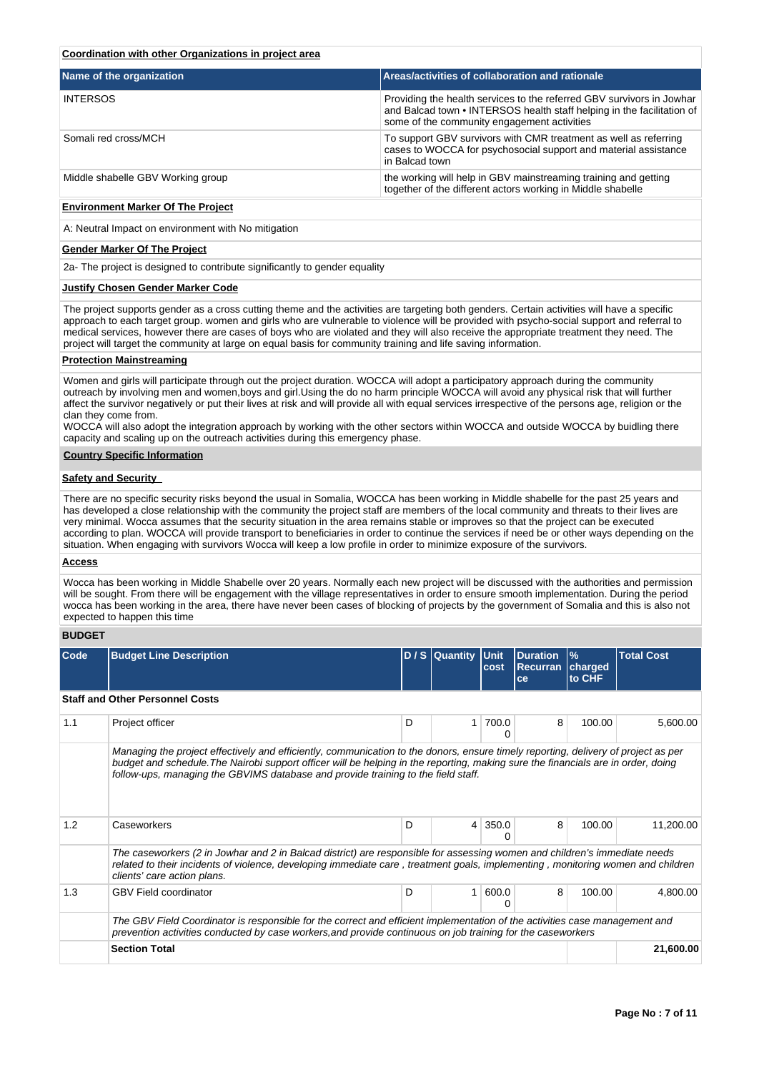## **Coordination with other Organizations in project area**

| Name of the organization          | <b>Areas/activities of collaboration and rationale</b>                                                                                                                                         |
|-----------------------------------|------------------------------------------------------------------------------------------------------------------------------------------------------------------------------------------------|
| <b>INTERSOS</b>                   | Providing the health services to the referred GBV survivors in Jowhar<br>and Balcad town • INTERSOS health staff helping in the facilitation of<br>some of the community engagement activities |
| Somali red cross/MCH              | To support GBV survivors with CMR treatment as well as referring<br>cases to WOCCA for psychosocial support and material assistance<br>in Balcad town                                          |
| Middle shabelle GBV Working group | the working will help in GBV mainstreaming training and getting<br>together of the different actors working in Middle shabelle                                                                 |

#### **Environment Marker Of The Project**

A: Neutral Impact on environment with No mitigation

#### **Gender Marker Of The Project**

2a- The project is designed to contribute significantly to gender equality

#### **Justify Chosen Gender Marker Code**

The project supports gender as a cross cutting theme and the activities are targeting both genders. Certain activities will have a specific approach to each target group. women and girls who are vulnerable to violence will be provided with psycho-social support and referral to medical services, however there are cases of boys who are violated and they will also receive the appropriate treatment they need. The project will target the community at large on equal basis for community training and life saving information.

#### **Protection Mainstreaming**

Women and girls will participate through out the project duration. WOCCA will adopt a participatory approach during the community outreach by involving men and women,boys and girl.Using the do no harm principle WOCCA will avoid any physical risk that will further affect the survivor negatively or put their lives at risk and will provide all with equal services irrespective of the persons age, religion or the clan they come from.

WOCCA will also adopt the integration approach by working with the other sectors within WOCCA and outside WOCCA by buidling there capacity and scaling up on the outreach activities during this emergency phase.

#### **Country Specific Information**

#### **Safety and Security**

There are no specific security risks beyond the usual in Somalia, WOCCA has been working in Middle shabelle for the past 25 years and has developed a close relationship with the community the project staff are members of the local community and threats to their lives are very minimal. Wocca assumes that the security situation in the area remains stable or improves so that the project can be executed according to plan. WOCCA will provide transport to beneficiaries in order to continue the services if need be or other ways depending on the situation. When engaging with survivors Wocca will keep a low profile in order to minimize exposure of the survivors.

#### **Access**

Wocca has been working in Middle Shabelle over 20 years. Normally each new project will be discussed with the authorities and permission will be sought. From there will be engagement with the village representatives in order to ensure smooth implementation. During the period wocca has been working in the area, there have never been cases of blocking of projects by the government of Somalia and this is also not expected to happen this time

## **BUDGET**

| Code | <b>Budget Line Description</b>                                                                                                                                                                                                                                                                                                                               |                           | D / S Quantity Unit | cost       | Duration<br>Recurran<br>ce | $\frac{9}{6}$<br>charged<br>to CHF | <b>Total Cost</b> |
|------|--------------------------------------------------------------------------------------------------------------------------------------------------------------------------------------------------------------------------------------------------------------------------------------------------------------------------------------------------------------|---------------------------|---------------------|------------|----------------------------|------------------------------------|-------------------|
|      | <b>Staff and Other Personnel Costs</b>                                                                                                                                                                                                                                                                                                                       |                           |                     |            |                            |                                    |                   |
| 1.1  | Project officer                                                                                                                                                                                                                                                                                                                                              | D                         | 1                   | 700.0<br>Ω | 8                          | 100.00                             | 5,600.00          |
|      | Managing the project effectively and efficiently, communication to the donors, ensure timely reporting, delivery of project as per<br>budget and schedule. The Nairobi support officer will be helping in the reporting, making sure the financials are in order, doing<br>follow-ups, managing the GBVIMS database and provide training to the field staff. | D                         |                     |            |                            |                                    |                   |
| 1.2  | Caseworkers                                                                                                                                                                                                                                                                                                                                                  |                           | $\overline{4}$      | 350.0      | 8                          | 100.00                             | 11,200.00         |
|      | The caseworkers (2 in Jowhar and 2 in Balcad district) are responsible for assessing women and children's immediate needs<br>related to their incidents of violence, developing immediate care, treatment goals, implementing, monitoring women and children<br>clients' care action plans.                                                                  |                           |                     |            |                            |                                    |                   |
| 1.3  | <b>GBV Field coordinator</b>                                                                                                                                                                                                                                                                                                                                 | D<br>600.0<br>1<br>8<br>0 |                     |            |                            |                                    | 4,800.00          |
|      | The GBV Field Coordinator is responsible for the correct and efficient implementation of the activities case management and<br>prevention activities conducted by case workers, and provide continuous on job training for the caseworkers                                                                                                                   |                           |                     |            |                            |                                    |                   |
|      | <b>Section Total</b>                                                                                                                                                                                                                                                                                                                                         |                           |                     |            |                            |                                    | 21,600.00         |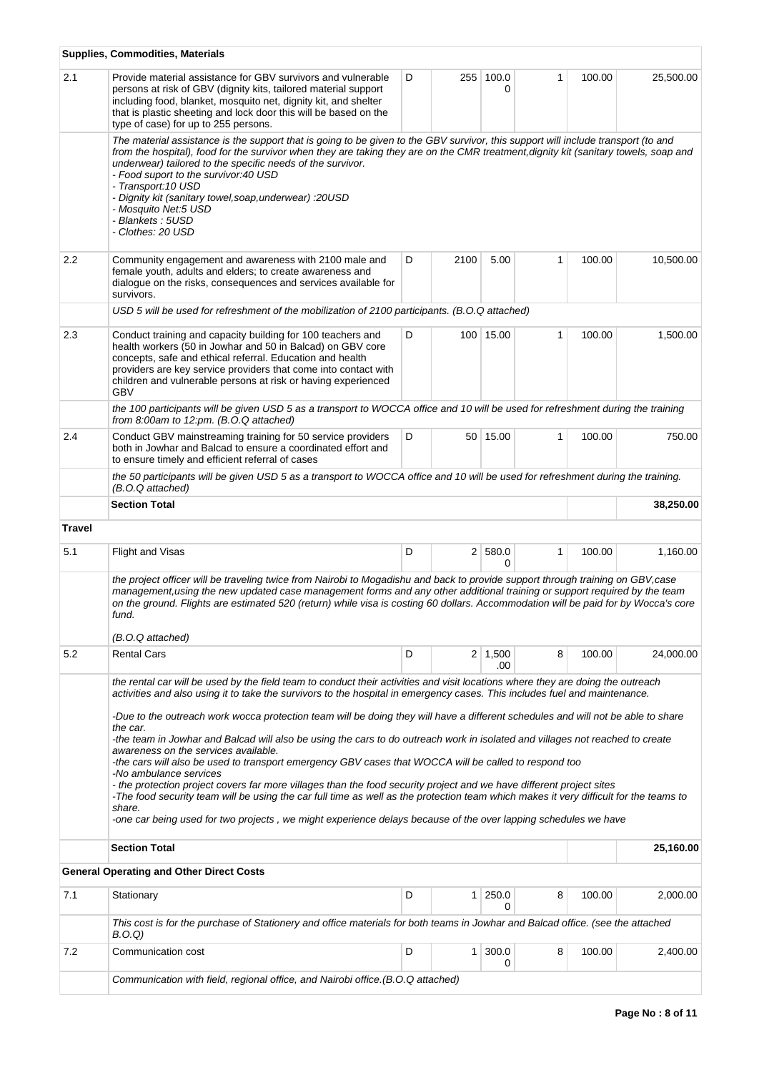|               | <b>Supplies, Commodities, Materials</b>                                                                                                                                                                                                                                                                                                                                                                                                                                                                                                                                                                                                                                                         |                |                |                       |              |        |           |
|---------------|-------------------------------------------------------------------------------------------------------------------------------------------------------------------------------------------------------------------------------------------------------------------------------------------------------------------------------------------------------------------------------------------------------------------------------------------------------------------------------------------------------------------------------------------------------------------------------------------------------------------------------------------------------------------------------------------------|----------------|----------------|-----------------------|--------------|--------|-----------|
| 2.1           | Provide material assistance for GBV survivors and vulnerable<br>persons at risk of GBV (dignity kits, tailored material support<br>including food, blanket, mosquito net, dignity kit, and shelter<br>that is plastic sheeting and lock door this will be based on the<br>type of case) for up to 255 persons.                                                                                                                                                                                                                                                                                                                                                                                  | D              | 255            | 100.0<br>0            | 1            | 100.00 | 25,500.00 |
|               | The material assistance is the support that is going to be given to the GBV survivor, this support will include transport (to and<br>from the hospital), food for the survivor when they are taking they are on the CMR treatment, dignity kit (sanitary towels, soap and<br>underwear) tailored to the specific needs of the survivor.<br>- Food suport to the survivor: 40 USD<br>- Transport: 10 USD<br>- Dignity kit (sanitary towel, soap, underwear) : 20USD<br>- Mosquito Net:5 USD<br>- Blankets : 5USD<br>- Clothes: 20 USD                                                                                                                                                            |                |                |                       |              |        |           |
| 2.2           | Community engagement and awareness with 2100 male and<br>female youth, adults and elders; to create awareness and<br>dialogue on the risks, consequences and services available for<br>survivors.                                                                                                                                                                                                                                                                                                                                                                                                                                                                                               | D              | 2100           | 5.00                  | 1            | 100.00 | 10,500.00 |
|               | USD 5 will be used for refreshment of the mobilization of 2100 participants. (B.O.Q attached)                                                                                                                                                                                                                                                                                                                                                                                                                                                                                                                                                                                                   |                |                |                       |              |        |           |
| 2.3           | Conduct training and capacity building for 100 teachers and<br>health workers (50 in Jowhar and 50 in Balcad) on GBV core<br>concepts, safe and ethical referral. Education and health<br>providers are key service providers that come into contact with<br>children and vulnerable persons at risk or having experienced<br><b>GBV</b>                                                                                                                                                                                                                                                                                                                                                        | D<br>100 15.00 |                |                       | 1            | 100.00 | 1,500.00  |
|               | the 100 participants will be given USD 5 as a transport to WOCCA office and 10 will be used for refreshment during the training<br>from 8:00am to $12$ :pm. (B.O.Q attached)                                                                                                                                                                                                                                                                                                                                                                                                                                                                                                                    |                |                |                       |              |        |           |
| 2.4           | Conduct GBV mainstreaming training for 50 service providers<br>both in Jowhar and Balcad to ensure a coordinated effort and<br>to ensure timely and efficient referral of cases                                                                                                                                                                                                                                                                                                                                                                                                                                                                                                                 | D              |                | 50 15.00              | $\mathbf{1}$ | 100.00 | 750.00    |
|               | the 50 participants will be given USD 5 as a transport to WOCCA office and 10 will be used for refreshment during the training.<br>(B.O.Q attached)                                                                                                                                                                                                                                                                                                                                                                                                                                                                                                                                             |                |                |                       |              |        |           |
|               | <b>Section Total</b>                                                                                                                                                                                                                                                                                                                                                                                                                                                                                                                                                                                                                                                                            |                |                |                       |              |        | 38,250.00 |
| <b>Travel</b> |                                                                                                                                                                                                                                                                                                                                                                                                                                                                                                                                                                                                                                                                                                 |                |                |                       |              |        |           |
| 5.1           | Flight and Visas                                                                                                                                                                                                                                                                                                                                                                                                                                                                                                                                                                                                                                                                                | D              |                | 2 580.0<br>$\Omega$   | $\mathbf{1}$ | 100.00 | 1,160.00  |
|               | the project officer will be traveling twice from Nairobi to Mogadishu and back to provide support through training on GBV, case<br>management, using the new updated case management forms and any other additional training or support required by the team<br>on the ground. Flights are estimated 520 (return) while visa is costing 60 dollars. Accommodation will be paid for by Wocca's core<br>fund.<br>(B.O.Q attached)                                                                                                                                                                                                                                                                 |                |                |                       |              |        |           |
| 5.2           | <b>Rental Cars</b>                                                                                                                                                                                                                                                                                                                                                                                                                                                                                                                                                                                                                                                                              | D              |                | $2 \mid 1,500$<br>.00 | 8            | 100.00 | 24,000.00 |
|               | the rental car will be used by the field team to conduct their activities and visit locations where they are doing the outreach<br>activities and also using it to take the survivors to the hospital in emergency cases. This includes fuel and maintenance.<br>-Due to the outreach work wocca protection team will be doing they will have a different schedules and will not be able to share<br>the car.<br>-the team in Jowhar and Balcad will also be using the cars to do outreach work in isolated and villages not reached to create<br>awareness on the services available.<br>-the cars will also be used to transport emergency GBV cases that WOCCA will be called to respond too |                |                |                       |              |        |           |
|               | -No ambulance services<br>- the protection project covers far more villages than the food security project and we have different project sites<br>-The food security team will be using the car full time as well as the protection team which makes it very difficult for the teams to<br>share.<br>-one car being used for two projects, we might experience delays because of the over lapping schedules we have                                                                                                                                                                                                                                                                             |                |                |                       |              |        |           |
|               | <b>Section Total</b>                                                                                                                                                                                                                                                                                                                                                                                                                                                                                                                                                                                                                                                                            |                |                |                       |              |        | 25,160.00 |
|               | <b>General Operating and Other Direct Costs</b>                                                                                                                                                                                                                                                                                                                                                                                                                                                                                                                                                                                                                                                 |                |                |                       |              |        |           |
| 7.1           | Stationary                                                                                                                                                                                                                                                                                                                                                                                                                                                                                                                                                                                                                                                                                      | D              | 1              | 250.0<br>0            | 8            | 100.00 | 2,000.00  |
|               | This cost is for the purchase of Stationery and office materials for both teams in Jowhar and Balcad office. (see the attached<br>B.O.Q)                                                                                                                                                                                                                                                                                                                                                                                                                                                                                                                                                        |                |                |                       |              |        |           |
| 7.2           | Communication cost                                                                                                                                                                                                                                                                                                                                                                                                                                                                                                                                                                                                                                                                              | D              | 1 <sup>1</sup> | 300.0<br>0            | 8            | 100.00 | 2,400.00  |
|               | Communication with field, regional office, and Nairobi office. (B.O.Q attached)                                                                                                                                                                                                                                                                                                                                                                                                                                                                                                                                                                                                                 |                |                |                       |              |        |           |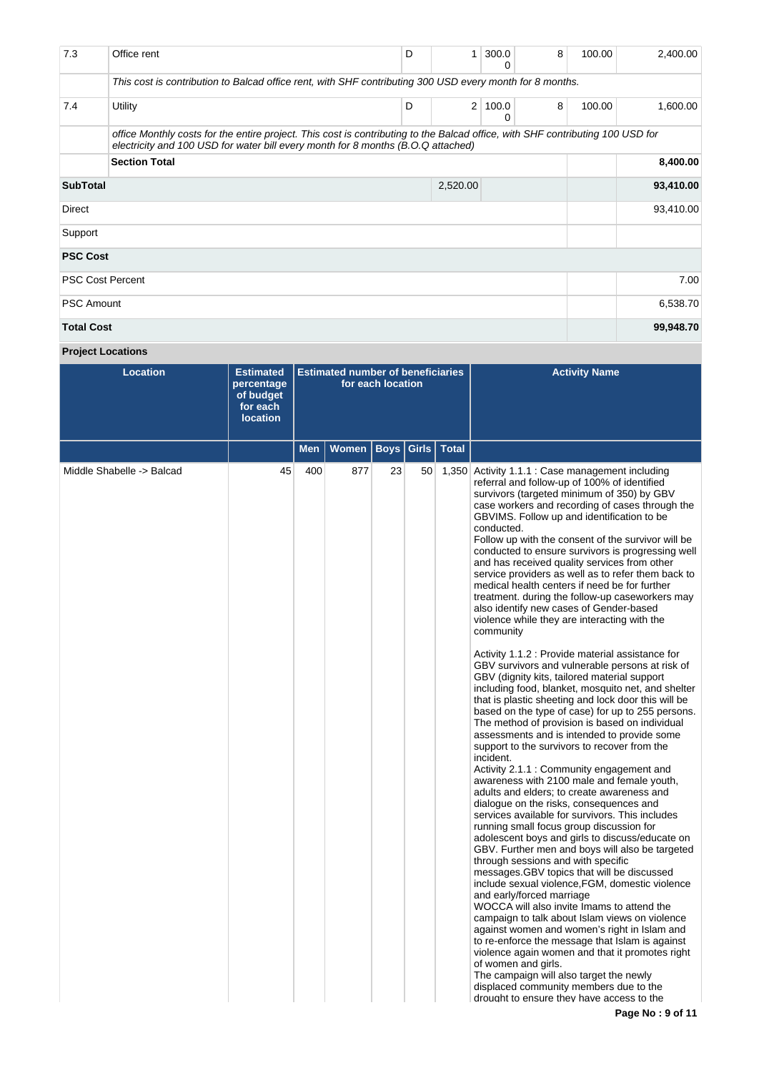| 7.3                     | Office rent                                                                                                                                                                                                        | D | 1        | 300.0<br>0    | 8 | 100.00 | 2,400.00  |  |  |
|-------------------------|--------------------------------------------------------------------------------------------------------------------------------------------------------------------------------------------------------------------|---|----------|---------------|---|--------|-----------|--|--|
|                         | This cost is contribution to Balcad office rent, with SHF contributing 300 USD every month for 8 months.                                                                                                           |   |          |               |   |        |           |  |  |
| 7.4                     | Utility                                                                                                                                                                                                            | D |          | 2 100.0 <br>0 | 8 | 100.00 | 1,600.00  |  |  |
|                         | office Monthly costs for the entire project. This cost is contributing to the Balcad office, with SHF contributing 100 USD for<br>electricity and 100 USD for water bill every month for 8 months (B.O.Q attached) |   |          |               |   |        |           |  |  |
|                         | <b>Section Total</b>                                                                                                                                                                                               |   |          |               |   |        |           |  |  |
| <b>SubTotal</b>         |                                                                                                                                                                                                                    |   | 2,520.00 |               |   |        | 93,410.00 |  |  |
| Direct                  |                                                                                                                                                                                                                    |   |          |               |   |        |           |  |  |
| Support                 |                                                                                                                                                                                                                    |   |          |               |   |        |           |  |  |
| <b>PSC Cost</b>         |                                                                                                                                                                                                                    |   |          |               |   |        |           |  |  |
| <b>PSC Cost Percent</b> |                                                                                                                                                                                                                    |   |          |               |   |        |           |  |  |
| <b>PSC Amount</b>       |                                                                                                                                                                                                                    |   |          |               |   |        |           |  |  |
| <b>Total Cost</b>       |                                                                                                                                                                                                                    |   |          |               |   |        | 99,948.70 |  |  |

# **Project Locations**

| <b>Location</b>           | <b>Estimated</b><br>percentage<br>of budget<br>for each<br><b>location</b> | <b>Estimated number of beneficiaries</b><br>for each location |              |             |                 |              | <b>Activity Name</b>                                                                                                                                                                                                                                                                                                                                                                                                                                                                                                                                                                                                                                                                                                                                                                                                                                                                                                                                                                                                                                                                                                                                                                                                                                                                                                                                                                                                                                                                                                                                                                                                                                                                                                                                                                                                                                                                                                                                                                                                                                                                                                                                                               |
|---------------------------|----------------------------------------------------------------------------|---------------------------------------------------------------|--------------|-------------|-----------------|--------------|------------------------------------------------------------------------------------------------------------------------------------------------------------------------------------------------------------------------------------------------------------------------------------------------------------------------------------------------------------------------------------------------------------------------------------------------------------------------------------------------------------------------------------------------------------------------------------------------------------------------------------------------------------------------------------------------------------------------------------------------------------------------------------------------------------------------------------------------------------------------------------------------------------------------------------------------------------------------------------------------------------------------------------------------------------------------------------------------------------------------------------------------------------------------------------------------------------------------------------------------------------------------------------------------------------------------------------------------------------------------------------------------------------------------------------------------------------------------------------------------------------------------------------------------------------------------------------------------------------------------------------------------------------------------------------------------------------------------------------------------------------------------------------------------------------------------------------------------------------------------------------------------------------------------------------------------------------------------------------------------------------------------------------------------------------------------------------------------------------------------------------------------------------------------------------|
|                           |                                                                            | <b>Men</b>                                                    | <b>Women</b> | <b>Boys</b> | Girls           | <b>Total</b> |                                                                                                                                                                                                                                                                                                                                                                                                                                                                                                                                                                                                                                                                                                                                                                                                                                                                                                                                                                                                                                                                                                                                                                                                                                                                                                                                                                                                                                                                                                                                                                                                                                                                                                                                                                                                                                                                                                                                                                                                                                                                                                                                                                                    |
| Middle Shabelle -> Balcad | 45                                                                         | 400                                                           | 877          | 23          | 50 <sup>1</sup> |              | 1,350 Activity 1.1.1 : Case management including<br>referral and follow-up of 100% of identified<br>survivors (targeted minimum of 350) by GBV<br>case workers and recording of cases through the<br>GBVIMS. Follow up and identification to be<br>conducted.<br>Follow up with the consent of the survivor will be<br>conducted to ensure survivors is progressing well<br>and has received quality services from other<br>service providers as well as to refer them back to<br>medical health centers if need be for further<br>treatment. during the follow-up caseworkers may<br>also identify new cases of Gender-based<br>violence while they are interacting with the<br>community<br>Activity 1.1.2 : Provide material assistance for<br>GBV survivors and vulnerable persons at risk of<br>GBV (dignity kits, tailored material support<br>including food, blanket, mosquito net, and shelter<br>that is plastic sheeting and lock door this will be<br>based on the type of case) for up to 255 persons.<br>The method of provision is based on individual<br>assessments and is intended to provide some<br>support to the survivors to recover from the<br>incident.<br>Activity 2.1.1 : Community engagement and<br>awareness with 2100 male and female youth,<br>adults and elders; to create awareness and<br>dialogue on the risks, consequences and<br>services available for survivors. This includes<br>running small focus group discussion for<br>adolescent boys and girls to discuss/educate on<br>GBV. Further men and boys will also be targeted<br>through sessions and with specific<br>messages. GBV topics that will be discussed<br>include sexual violence, FGM, domestic violence<br>and early/forced marriage<br>WOCCA will also invite Imams to attend the<br>campaign to talk about Islam views on violence<br>against women and women's right in Islam and<br>to re-enforce the message that Islam is against<br>violence again women and that it promotes right<br>of women and girls.<br>The campaign will also target the newly<br>displaced community members due to the<br>drought to ensure they have access to the<br>$Dao AIA - A 44$ |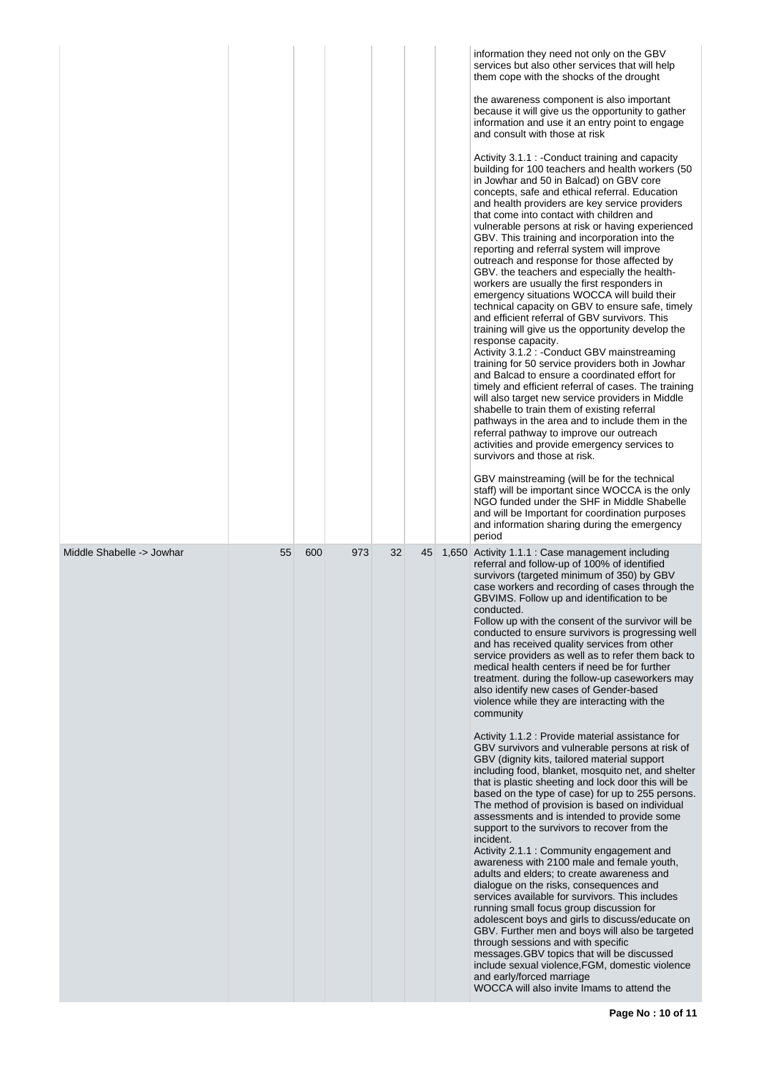|                           |    |     |     |    |    | information they need not only on the GBV<br>services but also other services that will help<br>them cope with the shocks of the drought<br>the awareness component is also important<br>because it will give us the opportunity to gather<br>information and use it an entry point to engage<br>and consult with those at risk<br>Activity 3.1.1 : - Conduct training and capacity<br>building for 100 teachers and health workers (50<br>in Jowhar and 50 in Balcad) on GBV core<br>concepts, safe and ethical referral. Education<br>and health providers are key service providers<br>that come into contact with children and<br>vulnerable persons at risk or having experienced<br>GBV. This training and incorporation into the<br>reporting and referral system will improve<br>outreach and response for those affected by<br>GBV. the teachers and especially the health-<br>workers are usually the first responders in<br>emergency situations WOCCA will build their<br>technical capacity on GBV to ensure safe, timely<br>and efficient referral of GBV survivors. This<br>training will give us the opportunity develop the<br>response capacity.<br>Activity 3.1.2 : - Conduct GBV mainstreaming<br>training for 50 service providers both in Jowhar<br>and Balcad to ensure a coordinated effort for<br>timely and efficient referral of cases. The training<br>will also target new service providers in Middle<br>shabelle to train them of existing referral<br>pathways in the area and to include them in the<br>referral pathway to improve our outreach<br>activities and provide emergency services to<br>survivors and those at risk.<br>GBV mainstreaming (will be for the technical<br>staff) will be important since WOCCA is the only<br>NGO funded under the SHF in Middle Shabelle<br>and will be Important for coordination purposes<br>and information sharing during the emergency<br>period |
|---------------------------|----|-----|-----|----|----|-----------------------------------------------------------------------------------------------------------------------------------------------------------------------------------------------------------------------------------------------------------------------------------------------------------------------------------------------------------------------------------------------------------------------------------------------------------------------------------------------------------------------------------------------------------------------------------------------------------------------------------------------------------------------------------------------------------------------------------------------------------------------------------------------------------------------------------------------------------------------------------------------------------------------------------------------------------------------------------------------------------------------------------------------------------------------------------------------------------------------------------------------------------------------------------------------------------------------------------------------------------------------------------------------------------------------------------------------------------------------------------------------------------------------------------------------------------------------------------------------------------------------------------------------------------------------------------------------------------------------------------------------------------------------------------------------------------------------------------------------------------------------------------------------------------------------------------------------------------------------------------------------------------------------------------|
| Middle Shabelle -> Jowhar | 55 | 600 | 973 | 32 | 45 | 1,650 Activity 1.1.1 : Case management including<br>referral and follow-up of 100% of identified<br>survivors (targeted minimum of 350) by GBV<br>case workers and recording of cases through the<br>GBVIMS. Follow up and identification to be<br>conducted.<br>Follow up with the consent of the survivor will be<br>conducted to ensure survivors is progressing well<br>and has received quality services from other<br>service providers as well as to refer them back to<br>medical health centers if need be for further<br>treatment. during the follow-up caseworkers may<br>also identify new cases of Gender-based<br>violence while they are interacting with the<br>community<br>Activity 1.1.2 : Provide material assistance for<br>GBV survivors and vulnerable persons at risk of<br>GBV (dignity kits, tailored material support<br>including food, blanket, mosquito net, and shelter<br>that is plastic sheeting and lock door this will be<br>based on the type of case) for up to 255 persons.<br>The method of provision is based on individual<br>assessments and is intended to provide some<br>support to the survivors to recover from the<br>incident.<br>Activity 2.1.1: Community engagement and<br>awareness with 2100 male and female youth,<br>adults and elders; to create awareness and<br>dialogue on the risks, consequences and<br>services available for survivors. This includes<br>running small focus group discussion for<br>adolescent boys and girls to discuss/educate on<br>GBV. Further men and boys will also be targeted<br>through sessions and with specific<br>messages.GBV topics that will be discussed<br>include sexual violence, FGM, domestic violence<br>and early/forced marriage<br>WOCCA will also invite Imams to attend the                                                                                                                                       |